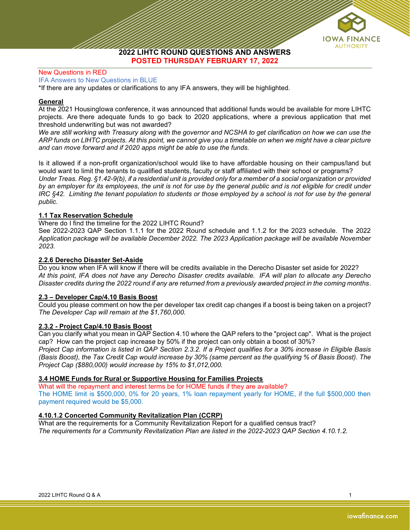

2022 LIHTC ROUND QUESTIONS AND ANSWERS POSTED THURSDAY FEBRUARY 17, 2022

#### New Questions in RED

IFA Answers to New Questions in BLUE

\*If there are any updates or clarifications to any IFA answers, they will be highlighted.

### General

At the 2021 HousingIowa conference, it was announced that additional funds would be available for more LIHTC projects. Are there adequate funds to go back to 2020 applications, where a previous application that met threshold underwriting but was not awarded?

We are still working with Treasury along with the governor and NCSHA to get clarification on how we can use the ARP funds on LIHTC projects. At this point, we cannot give you a timetable on when we might have a clear picture and can move forward and if 2020 apps might be able to use the funds.

Is it allowed if a non-profit organization/school would like to have affordable housing on their campus/land but would want to limit the tenants to qualified students, faculty or staff affiliated with their school or programs? Under Treas. Reg. §1.42-9(b), if a residential unit is provided only for a member of a social organization or provided by an employer for its employees, the unit is not for use by the general public and is not eligible for credit under IRC §42. Limiting the tenant population to students or those employed by a school is not for use by the general public.

### 1.1 Tax Reservation Schedule

Where do I find the timeline for the 2022 LIHTC Round?

See 2022-2023 QAP Section 1.1.1 for the 2022 Round schedule and 1.1.2 for the 2023 schedule. The 2022 Application package will be available December 2022. The 2023 Application package will be available November 2023.

### 2.2.6 Derecho Disaster Set-Aside

Do you know when IFA will know if there will be credits available in the Derecho Disaster set aside for 2022? At this point, IFA does not have any Derecho Disaster credits available. IFA will plan to allocate any Derecho Disaster credits during the 2022 round if any are returned from a previously awarded project in the coming months.

### 2.3 – Developer Cap/4.10 Basis Boost

Could you please comment on how the per developer tax credit cap changes if a boost is being taken on a project? The Developer Cap will remain at the \$1,760,000.

### 2.3.2 - Project Cap/4.10 Basis Boost

Can you clarify what you mean in QAP Section 4.10 where the QAP refers to the "project cap". What is the project cap? How can the project cap increase by 50% if the project can only obtain a boost of 30%?

Project Cap information is listed in QAP Section 2.3.2. If a Project qualifies for a 30% increase in Eligible Basis (Basis Boost), the Tax Credit Cap would increase by 30% (same percent as the qualifying % of Basis Boost). The Project Cap (\$880,000) would increase by 15% to \$1,012,000.

### 3.4 HOME Funds for Rural or Supportive Housing for Families Projects

What will the repayment and interest terms be for HOME funds if they are available? The HOME limit is \$500,000, 0% for 20 years, 1% loan repayment yearly for HOME, if the full \$500,000 then payment required would be \$5,000.

### 4.10.1.2 Concerted Community Revitalization Plan (CCRP)

What are the requirements for a Community Revitalization Report for a qualified census tract? The requirements for a Community Revitalization Plan are listed in the 2022-2023 QAP Section 4.10.1.2.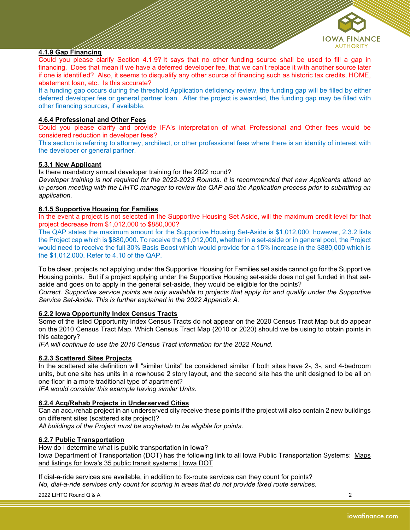

# 4.1.9 Gap Financing

Could you please clarify Section 4.1.9? It says that no other funding source shall be used to fill a gap in financing. Does that mean if we have a deferred developer fee, that we can't replace it with another source later if one is identified? Also, it seems to disqualify any other source of financing such as historic tax credits, HOME, abatement loan, etc. Is this accurate?

If a funding gap occurs during the threshold Application deficiency review, the funding gap will be filled by either deferred developer fee or general partner loan. After the project is awarded, the funding gap may be filled with other financing sources, if available.

## 4.6.4 Professional and Other Fees

Could you please clarify and provide IFA's interpretation of what Professional and Other fees would be considered reduction in developer fees?

This section is referring to attorney, architect, or other professional fees where there is an identity of interest with the developer or general partner.

### 5.3.1 New Applicant

Is there mandatory annual developer training for the 2022 round?

Developer training is not required for the 2022-2023 Rounds. It is recommended that new Applicants attend an in-person meeting with the LIHTC manager to review the QAP and the Application process prior to submitting an application.

### 6.1.5 Supportive Housing for Families

In the event a project is not selected in the Supportive Housing Set Aside, will the maximum credit level for that project decrease from \$1,012,000 to \$880,000?

The QAP states the maximum amount for the Supportive Housing Set-Aside is \$1,012,000; however, 2.3.2 lists the Project cap which is \$880,000. To receive the \$1,012,000, whether in a set-aside or in general pool, the Project would need to receive the full 30% Basis Boost which would provide for a 15% increase in the \$880,000 which is the \$1,012,000. Refer to 4.10 of the QAP.

To be clear, projects not applying under the Supportive Housing for Families set aside cannot go for the Supportive Housing points. But if a project applying under the Supportive Housing set-aside does not get funded in that setaside and goes on to apply in the general set-aside, they would be eligible for the points?

Correct. Supportive service points are only available to projects that apply for and qualify under the Supportive Service Set-Aside. This is further explained in the 2022 Appendix A.

### 6.2.2 Iowa Opportunity Index Census Tracts

Some of the listed Opportunity Index Census Tracts do not appear on the 2020 Census Tract Map but do appear on the 2010 Census Tract Map. Which Census Tract Map (2010 or 2020) should we be using to obtain points in this category?

IFA will continue to use the 2010 Census Tract information for the 2022 Round.

### 6.2.3 Scattered Sites Projects

In the scattered site definition will "similar Units" be considered similar if both sites have 2-, 3-, and 4-bedroom units, but one site has units in a rowhouse 2 story layout, and the second site has the unit designed to be all on one floor in a more traditional type of apartment?

IFA would consider this example having similar Units.

### 6.2.4 Acq/Rehab Projects in Underserved Cities

Can an acq./rehab project in an underserved city receive these points if the project will also contain 2 new buildings on different sites (scattered site project)?

All buildings of the Project must be acq/rehab to be eligible for points.

### 6.2.7 Public Transportation

How do I determine what is public transportation in Iowa? Iowa Department of Transportation (DOT) has the following link to all Iowa Public Transportation Systems: Maps and listings for Iowa's 35 public transit systems | Iowa DOT

If dial-a-ride services are available, in addition to fix-route services can they count for points? No, dial-a-ride services only count for scoring in areas that do not provide fixed route services.

2022 LIHTC Round Q & A 2